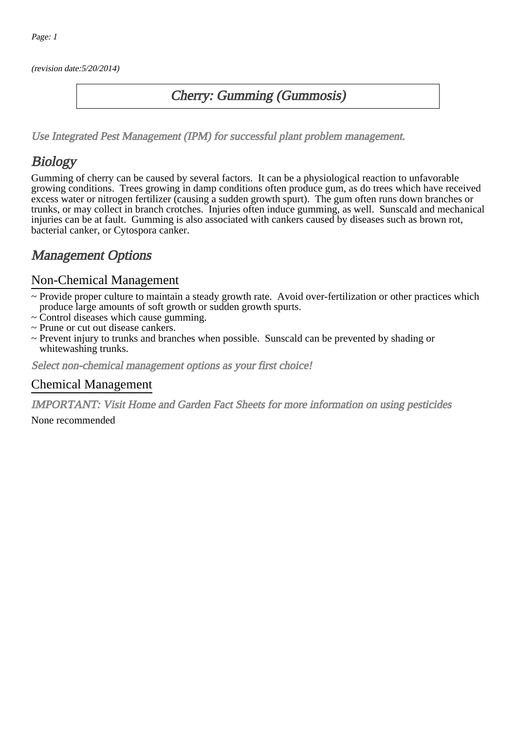(revision date:5/20/2014)

### Cherry: Gumming (Gummosis)

[Use Integrated Pest Management \(IPM\) for successful plant problem management.](http://pep.wsu.edu/Home_Garden/H_G_Pesticide_info/urban_Integrated_Pest_Managmen/)

## **Biology**

Gumming of cherry can be caused by several factors. It can be a physiological reaction to unfavorable growing conditions. Trees growing in damp conditions often produce gum, as do trees which have received excess water or nitrogen fertilizer (causing a sudden growth spurt). The gum often runs down branches or trunks, or may collect in branch crotches. Injuries often induce gumming, as well. Sunscald and mechanical injuries can be at fault. Gumming is also associated with cankers caused by diseases such as brown rot, bacterial canker, or Cytospora canker.

## Management Options

#### Non-Chemical Management

- ~ Provide proper culture to maintain a steady growth rate. Avoid over-fertilization or other practices which produce large amounts of soft growth or sudden growth spurts.
- ~ Control diseases which cause gumming.
- ~ Prune or cut out disease cankers.
- ~ Prevent injury to trunks and branches when possible. Sunscald can be prevented by shading or whitewashing trunks.

Select non-chemical management options as your first choice!

#### Chemical Management

IMPORTANT: [Visit Home and Garden Fact Sheets for more information on using pesticides](http://pep.wsu.edu/Home_Garden/H_G_Pesticide_info/)

None recommended